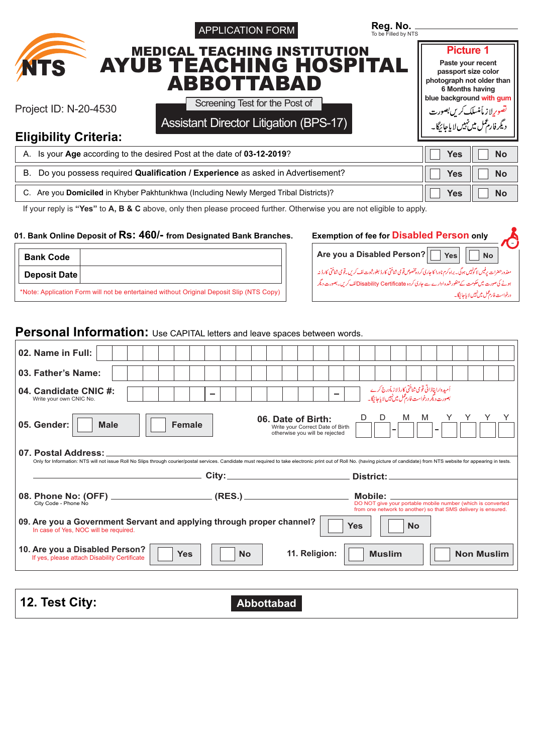|                                                                                          | <b>APPLICATION FORM</b>                                                                                                                                                                                                        | To be Filled by NTS                                                                                                        |                                                  |
|------------------------------------------------------------------------------------------|--------------------------------------------------------------------------------------------------------------------------------------------------------------------------------------------------------------------------------|----------------------------------------------------------------------------------------------------------------------------|--------------------------------------------------|
|                                                                                          | <b>MEDICAL TEACHING INSTITUTION</b><br><b>AYUB TEACHING HOSPITAL</b>                                                                                                                                                           |                                                                                                                            | <b>Picture 1</b><br>Paste your recent            |
| <b>NTS</b>                                                                               | <b>ABBOTTABAD</b>                                                                                                                                                                                                              |                                                                                                                            | passport size color<br>photograph not older than |
|                                                                                          |                                                                                                                                                                                                                                |                                                                                                                            | 6 Months having<br>blue background with gum      |
| Project ID: N-20-4530                                                                    | Screening Test for the Post of                                                                                                                                                                                                 |                                                                                                                            | تصويرلاز مأمنسلك <i>كرين بص</i> ورت              |
| <b>Eligibility Criteria:</b>                                                             | <b>Assistant Director Litigation (BPS-17)</b>                                                                                                                                                                                  |                                                                                                                            | د یگر فارم <sup>عمل</sup> میں نہیں لا پاجائیگا۔  |
|                                                                                          | A. Is your Age according to the desired Post at the date of 03-12-2019?                                                                                                                                                        |                                                                                                                            | <b>Yes</b><br>No                                 |
| В.                                                                                       | Do you possess required Qualification / Experience as asked in Advertisement?                                                                                                                                                  |                                                                                                                            | <b>Yes</b><br><b>No</b>                          |
|                                                                                          | C. Are you Domiciled in Khyber Pakhtunkhwa (Including Newly Merged Tribal Districts)?                                                                                                                                          |                                                                                                                            | <b>Yes</b><br><b>No</b>                          |
|                                                                                          | If your reply is "Yes" to A, B & C above, only then please proceed further. Otherwise you are not eligible to apply.                                                                                                           |                                                                                                                            |                                                  |
|                                                                                          |                                                                                                                                                                                                                                |                                                                                                                            |                                                  |
|                                                                                          | 01. Bank Online Deposit of RS: 460/- from Designated Bank Branches.                                                                                                                                                            | <b>Exemption of fee for Disabled Person only</b>                                                                           |                                                  |
| <b>Bank Code</b>                                                                         |                                                                                                                                                                                                                                | Are you a Disabled Person?                                                                                                 | <b>Yes</b><br><b>No</b>                          |
|                                                                                          |                                                                                                                                                                                                                                |                                                                                                                            |                                                  |
| <b>Deposit Date</b>                                                                      |                                                                                                                                                                                                                                | معذورحضرات پرفیس لا گونہیں ہوگ ۔ براہ کرم نادرا کا جاری کر دہ پخصوص تو می شاختی کارڈ بطور ثبوت لف کریں۔قومی شناختی کارڈ نہ |                                                  |
| *Note: Application Form will not be entertained without Original Deposit Slip (NTS Copy) |                                                                                                                                                                                                                                | ہونے کی صورت میں حکومت کے منظور شدہ ادارے سے جاری کردہ Disability Certificateکالف کریں۔بصورت دیگر                          |                                                  |
|                                                                                          |                                                                                                                                                                                                                                |                                                                                                                            |                                                  |
|                                                                                          |                                                                                                                                                                                                                                |                                                                                                                            |                                                  |
|                                                                                          | Personal Information: Use CAPITAL letters and leave spaces between words.                                                                                                                                                      |                                                                                                                            | درخواست فارغمل ميں نہيں لاياجائيگا۔              |
|                                                                                          |                                                                                                                                                                                                                                |                                                                                                                            |                                                  |
| 02. Name in Full:<br>03. Father's Name:                                                  |                                                                                                                                                                                                                                |                                                                                                                            |                                                  |
| Write your own CNIC No.                                                                  |                                                                                                                                                                                                                                | اُمیدوارا پناڈاتی قومی شناختی کارڈ لاز مأدرج کرے<br>بصورت دیگر درخواست فارم عمل میں نہیں لا یا جائیگا۔                     |                                                  |
| 04. Candidate CNIC #:                                                                    |                                                                                                                                                                                                                                | D<br>M<br>D<br>06. Date of Birth:                                                                                          | M                                                |
| 05. Gender:<br><b>Male</b>                                                               | <b>Female</b>                                                                                                                                                                                                                  | Write your Correct Date of Birth<br>otherwise you will be rejected                                                         |                                                  |
| 07. Postal Address:                                                                      |                                                                                                                                                                                                                                |                                                                                                                            |                                                  |
|                                                                                          | Only for Information: NTS will not issue Roll No Slips through courier/postal services. Candidate must required to take electronic print out of Roll No. (having picture of candidate) from NTS website for appearing in tests |                                                                                                                            |                                                  |
|                                                                                          |                                                                                                                                                                                                                                |                                                                                                                            | the control of the control of the control of the |

**Yes No 10. Are you a Disabled Person?** If yes, please attach Disability Certificate **11. Religion: Muslim Non Muslim**

| 12. Test City: | <b>Abbottabad</b> |  |
|----------------|-------------------|--|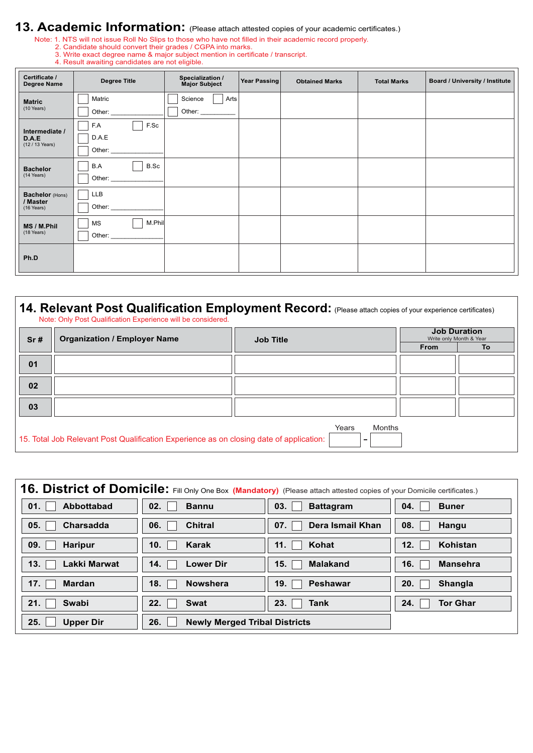# **13. Academic Information:** (Please attach attested copies of your academic certificates.)

Note: 1. NTS will not issue Roll No Slips to those who have not filled in their academic record properly.

- 2. Candidate should convert their grades / CGPA into marks.
- 3. Write exact degree name & major subject mention in certificate / transcript.

| 4. Result awaiting candidates are not eligible. |  |
|-------------------------------------------------|--|

| Certificate /<br><b>Degree Name</b> | <b>Degree Title</b> | Specialization /<br><b>Major Subject</b> | Year Passing | <b>Obtained Marks</b> | <b>Total Marks</b> | Board / University / Institute |
|-------------------------------------|---------------------|------------------------------------------|--------------|-----------------------|--------------------|--------------------------------|
| <b>Matric</b>                       | Matric              | Science<br>Arts                          |              |                       |                    |                                |
| (10 Years)                          | Other:              | Other:                                   |              |                       |                    |                                |
| Intermediate /                      | F.Sc<br>F.A         |                                          |              |                       |                    |                                |
| D.A.E<br>(12 / 13 Years)            | D.A.E               |                                          |              |                       |                    |                                |
|                                     | Other: $\_\_$       |                                          |              |                       |                    |                                |
| <b>Bachelor</b>                     | B.Sc<br>B.A         |                                          |              |                       |                    |                                |
| (14 Years)                          | Other:              |                                          |              |                       |                    |                                |
| Bachelor (Hons)                     | <b>LLB</b>          |                                          |              |                       |                    |                                |
| / Master<br>(16 Years)              | Other:              |                                          |              |                       |                    |                                |
| MS / M.Phil                         | M.Phil<br>MS        |                                          |              |                       |                    |                                |
| (18 Years)                          | Other:              |                                          |              |                       |                    |                                |
|                                     |                     |                                          |              |                       |                    |                                |
| Ph.D                                |                     |                                          |              |                       |                    |                                |

| Sr# | <b>Organization / Employer Name</b> | <b>Job Title</b> | <b>Job Duration</b><br>Write only Month & Year |
|-----|-------------------------------------|------------------|------------------------------------------------|
|     |                                     |                  | To<br><b>From</b>                              |
| 01  |                                     |                  |                                                |
| 02  |                                     |                  |                                                |
| 03  |                                     |                  |                                                |

|                         | 16. District of Domicile: Fill Only One Box (Mandatory) (Please attach attested copies of your Domicile certificates.) |                  |                 |
|-------------------------|------------------------------------------------------------------------------------------------------------------------|------------------|-----------------|
| <b>Abbottabad</b>       | 02.                                                                                                                    | 03.              | 04.             |
| 01.                     | <b>Bannu</b>                                                                                                           | <b>Battagram</b> | <b>Buner</b>    |
| 05.                     | <b>Chitral</b>                                                                                                         | Dera Ismail Khan | 08.             |
| Charsadda               | 06.                                                                                                                    | 07.              | Hangu           |
| 09.                     | Karak                                                                                                                  | Kohat            | Kohistan        |
| <b>Haripur</b>          | 10.                                                                                                                    | 11.              | 12.             |
| 13.                     | 14.                                                                                                                    | 15.              | 16.             |
| <b>Lakki Marwat</b>     | <b>Lower Dir</b>                                                                                                       | <b>Malakand</b>  | <b>Mansehra</b> |
| 17.                     | <b>Nowshera</b>                                                                                                        | 19.              | 20.             |
| <b>Mardan</b>           | 18.                                                                                                                    | <b>Peshawar</b>  | <b>Shangla</b>  |
| 21.                     | 22.                                                                                                                    | 23.              | 24.             |
| <b>Swabi</b>            | <b>Swat</b>                                                                                                            | Tank             | Tor Ghar        |
| 25.<br><b>Upper Dir</b> | 26.<br><b>Newly Merged Tribal Districts</b>                                                                            |                  |                 |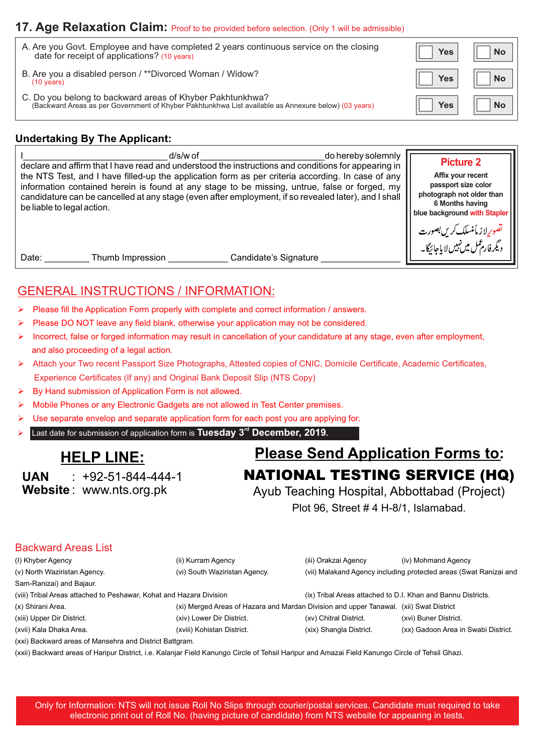## **17. Age Relaxation Claim:** Proof to be provided before selection. (Only 1 will be admissible)

| A. Are you Govt. Employee and have completed 2 years continuous service on the closing<br>date for receipt of applications? (10 years)                            | Yes I      | <b>No</b>                 |
|-------------------------------------------------------------------------------------------------------------------------------------------------------------------|------------|---------------------------|
| B. Are you a disabled person / **Divorced Woman / Widow?<br>$(10 \text{ years})$                                                                                  | <b>Yes</b> | <b>No</b><br>$\mathbf{H}$ |
| C. Do you belong to backward areas of Khyber Pakhtunkhwa?<br>(Backward Areas as per Government of Khyber Pakhtunkhwa List available as Annexure below) (03 years) | Yes        | <b>No</b>                 |

## **Undertaking By The Applicant:**

| d/s/w of                                                                                             | <b>Picture 2</b>                                                                      |
|------------------------------------------------------------------------------------------------------|---------------------------------------------------------------------------------------|
| do hereby solemnly                                                                                   | Affix your recent                                                                     |
| declare and affirm that I have read and understood the instructions and conditions for appearing in  | passport size color                                                                   |
| the NTS Test, and I have filled-up the application form as per criteria according. In case of any    | photograph not older than                                                             |
| information contained herein is found at any stage to be missing, untrue, false or forged, my        | 6 Months having                                                                       |
| candidature can be cancelled at any stage (even after employment, if so revealed later), and I shall | blue background with Stapler                                                          |
| be liable to legal action.                                                                           | تصویرلا ز مأمنسلک <i>کریں بصور</i> ت<br>دیگرفارم <sup>ع</sup> ل میں نہیں لا یاجائیگا۔ |
| Candidate's Signature<br>Date:<br>Thumb Impression                                                   |                                                                                       |

## GENERAL INSTRUCTIONS / INFORMATION:

- Please fill the Application Form properly with complete and correct information / answers.
- Please DO NOT leave any field blank, otherwise your application may not be considered.
- Incorrect, false or forged information may result in cancellation of your candidature at any stage, even after employment, and also proceeding of a legal action.
- Ø Attach your Two recent Passport Size Photographs, Attested copies of CNIC, Domicile Certificate, Academic Certificates, Experience Certificates (If any) and Original Bank Deposit Slip (NTS Copy)
- By Hand submission of Application Form is not allowed.
- Mobile Phones or any Electronic Gadgets are not allowed in Test Center premises.
- Ø Use separate envelop and separate application form for each post you are applying for.
- Ø **Last date for submission of application form is Tuesday 3<sup>rd</sup> December, 2019.**

**UAN Website** : www.nts.org.pk  $\cdot$  +92-51-844-444-1

**HELP LINE:** Please Send Application Forms to: NATIONAL TESTING SERVICE (HQ)

> Ayub Teaching Hospital, Abbottabad (Project) Plot 96, Street # 4 H-8/1, Islamabad.

### Backward Areas List

| (I) Khyber Agency                                                   | (ii) Kurram Agency                                                                     | (iii) Orakzai Agency    | (iv) Mohmand Agency                                               |
|---------------------------------------------------------------------|----------------------------------------------------------------------------------------|-------------------------|-------------------------------------------------------------------|
| (v) North Waziristan Agency.                                        | (vi) South Waziristan Agency.                                                          |                         | (vii) Malakand Agency including protected areas (Swat Ranizai and |
| Sam-Ranizai) and Bajaur.                                            |                                                                                        |                         |                                                                   |
| (viii) Tribal Areas attached to Peshawar, Kohat and Hazara Division |                                                                                        |                         | (ix) Tribal Areas attached to D.I. Khan and Bannu Districts.      |
| (x) Shirani Area.                                                   | (xi) Merged Areas of Hazara and Mardan Division and upper Tanawal. (xii) Swat District |                         |                                                                   |
| (xiii) Upper Dir District.                                          | (xiv) Lower Dir District.                                                              | (xv) Chitral District.  | (xvi) Buner District.                                             |
| (xvii) Kala Dhaka Area.                                             | (xviii) Kohistan District.                                                             | (xix) Shangla District. | (xx) Gadoon Area in Swabi District.                               |
|                                                                     |                                                                                        |                         |                                                                   |

(xxi) Backward areas of Mansehra and District Battgram.

(xxii) Backward areas of Haripur District, i.e. Kalanjar Field Kanungo Circle of Tehsil Haripur and Amazai Field Kanungo Circle of Tehsil Ghazi.

Only for Information: NTS will not issue Roll No Slips through courier/postal services. Candidate must required to take electronic print out of Roll No. (having picture of candidate) from NTS website for appearing in tests.